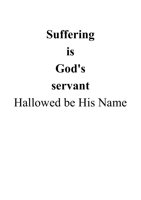# **Suffering is God's servant** Hallowed be His Name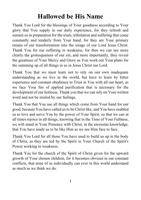### **Hallowed be His Name**

Thank You Lord for the blessings of Your goodness according to Your glory that You supply in our daily experience, for they refresh and sustain us in preparation for the trials, tribulation and suffering that come constantly and tenderly from Your hand, for they are Your primary means of our transformation into the image of our Lord Jesus Christ. Thank You for our suffering in weakness, for then we can see more clearly the grotesqueness of our sin, and more importantly, they reveal the greatness of Your Mercy and Glory as You work out Your plans for the summing up of all things in us in Jesus Christ our Lord.

Thank You that we must learn not to rely on our own inadequate understanding as we live in the world, but have to learn by bitter experience and constant obedience to Trust in You with all our heart, as we face Your fire of applied purification that is necessary for the development of our holiness. Thank you that we can rely on Your written word and not be misled by our feelings.

Thank You that You use all things which come from Your hand for our good, because You have called us to be Christ like, and You have enabled us to love and serve You by the power of Your Spirit, so that we can at all times rejoice in all things, knowing that in the Time of Your Fullness, we will stand in Your Presence with Christ, in the awesome knowledge, that You have made us to be like Him as we see Him face to face.

Thank You Lord for all those You have used to build us up in the body of Christ, as they are led by the Spirit in Your Church of the Spirit's Power working in weakness.

Thank You for the church of the Spirit of Christ given for the upward growth of Your chosen children, for it becomes obvious in our constant conflicts, that none of us individually can ever in this world understand as much as we think we do.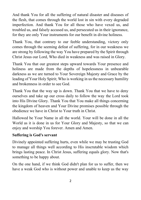And thank You for all the suffering of natural disaster and diseases of the flesh, that comes through the world lost in sin with every degraded imperfection. And thank You for all those who have vexed us, and troubled us, and falsely accused us, and persecuted us in their ignorance, for they are only Your instruments for our benefit in divine holiness.

Thank You, that contrary to our feeble understanding, victory only comes through the seeming defeat of suffering, for in our weakness we are strong by following the way You have prepared by the Spirit through Christ Jesus our Lord, Who died in weakness and was raised in Glory.

Thank You that our greatest steps upward towards Your presence and holiness are made from the depths of hopelessness in unbearable darkness as we are turned to Your Sovereign Majesty and Grace by the leading of Your Holy Spirit; Who is working in us the necessary humility and brokenness in order to see God.

Thank You that the way up is down. Thank You that we have to deny ourselves and take up our cross daily to follow the way the Lord took into His Divine Glory. Thank You that You make all things concerning the kingdom of heaven and Your Divine promises possible through the obedience we have in Christ to Your truth in Christ.

Hallowed be Your Name in all the world. Your will be done in all the World as it is done in us for Your Glory and Majesty, so that we can enjoy and worship You forever. Amen and Amen.

#### **Suffering is God's servant**

Divinely appointed suffering hurts, even while we may be trusting God to manage all things well according to His inscrutable wisdom which brings lasting peace. In Christ Jesus, suffering equals glory. Now that's something to be happy about.

On the one hand, if we think God didn't plan for us to suffer, then we have a weak God who is without power and unable to keep us the way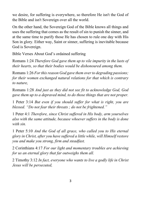we desire, for suffering is everywhere, so therefore He isn't the God of the Bible and isn't Sovereign over all the world.

On the other hand, the Sovereign God of the Bible knows all things and uses the suffering that comes as the result of sin to punish the sinner, and at the same time to purify those He has chosen to rule one day with His Son in glory. Either way, Saint or sinner, suffering is inevitable because God is Sovereign.

Bible Verses About God's ordained suffering

Romans 1:24 *Therefore God gave them up to vile impurity in the lusts of their hearts, so that their bodies would be dishonoured among them.*

Romans 1:26 *For this reason God gave them over to degrading passions; for their women exchanged natural relations for that which is contrary to nature,*

Romans 1:28 *And just as they did not see fit to acknowledge God, God gave them up to a depraved mind, to do those things that are not proper.*

1 Peter 3:14 *But even if you should suffer for what is right, you are blessed. "Do not fear their threats ; do not be frightened."*

1 Peter 4:1 *Therefore, since Christ suffered in His body, arm yourselves also with the same attitude, because whoever suffers in the body is done with sin.*

1 Peter 5:10 *And the God of all grace, who called you to His eternal glory in Christ, after you have suffered a little while, will Himself restore you and make you strong, firm and steadfast.*

2 Corinthians 4:17 *For our light and momentary troubles are achieving for us an eternal glory that far outweighs them all.*

2 Timothy 3:12 *In fact, everyone who wants to live a godly life in Christ Jesus will be persecuted,*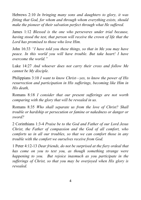Hebrews 2:10 *In bringing many sons and daughters to glory, it was fitting that God, for whom and through whom everything exists, should make the pioneer of their salvation perfect through what He suffered.*

James 1:12 *Blessed is the one who perseveres under trial because, having stood the test, that person will receive the crown of life that the Lord has promised to those who love Him.*

John 16:33 *"I have told you these things, so that in Me you may have peace. In this world you will have trouble. But take heart! I have overcome the world."*

Luke 14:27 *And whoever does not carry their cross and follow Me cannot be My disciple.*

Philippians 3:10 *I want to know Christ—yes, to know the power of His resurrection and participation in His sufferings, becoming like Him in His death,*

Romans 8:18 *I consider that our present sufferings are not worth comparing with the glory that will be revealed in us.*

Romans 8:35 *Who shall separate us from the love of Christ? Shall trouble or hardship or persecution or famine or nakedness or danger or sword?*

2 Corinthians 1:3-4 *Praise be to the God and Father of our Lord Jesus Christ, the Father of compassion and the God of all comfort, who comforts us in all our troubles, so that we can comfort those in any trouble with the comfort we ourselves receive from God.*

1 Peter 4:12-13 *Dear friends, do not be surprised at the fiery ordeal that has come on you to test you, as though something strange were happening to you. But rejoice inasmuch as you participate in the sufferings of Christ, so that you may be overjoyed when His glory is revealed.*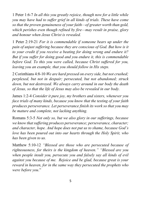1 Peter 1:6-7 *In all this you greatly rejoice, though now for a little while you may have had to suffer grief in all kinds of trials. These have come so that the proven genuineness of your faith—of greater worth than gold, which perishes even though refined by fire—may result in praise, glory and honour when Jesus Christ is revealed.*

1 Peter 2:19-21 *For it is commendable if someone bears up under the pain of unjust suffering because they are conscious of God. But how is it to your credit if you receive a beating for doing wrong and endure it? But if you suffer for doing good and you endure it, this is commendable before God. To this you were called, because Christ suffered for you, leaving you an example, that you should follow in His steps.*

2 Corinthians 4:8-10 *We are hard pressed on every side, but not crushed; perplexed, but not in despair; persecuted, but not abandoned; struck down, but not destroyed. We always carry around in our body the death of Jesus, so that the life of Jesus may also be revealed in our body.*

James 1:2-4 *Consider it pure joy, my brothers and sisters, whenever you face trials of many kinds, because you know that the testing of your faith produces perseverance. Let perseverance finish its work so that you may be mature and complete, not lacking anything.*

Romans 5:3-5 *Not only so, but we also glory in our sufferings, because we know that suffering produces perseverance; perseverance, character; and character, hope. And hope does not put us to shame, because God's love has been poured out into our hearts through the Holy Spirit, who has been given to us.*

Matthew 5:10-12 *"Blessed are those who are persecuted because of righteousness, for theirs is the kingdom of heaven." "Blessed are you when people insult you, persecute you and falsely say all kinds of evil against you because of me. Rejoice and be glad, because great is your reward in heaven, for in the same way they persecuted the prophets who were before you*."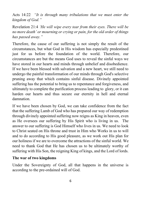Acts 14:22 *"It is through many tribulations that we must enter the kingdom of God."*

Revelation 21:4 *'He will wipe every tear from their eyes. There will be no more death' or mourning or crying or pain, for the old order of things has passed away."*

Therefore, the cause of our suffering is not simply the result of the circumstances, but what God in His wisdom has especially predestined just for us before the foundation of the world. Therefore, our circumstances are but the means God uses to reveal the sinful ways we have stored in our hearts and minds through unbelief and disobedience. If we have been blessed with salvation and a new heart, we still need to undergo the painful transformation of our minds through God's selective pruning away that which contains sinful disease. Divinely appointed suffering has the potential to bring us to repentance and forgiveness, and ultimately to complete the purification process leading to glory, or it can harden our hearts and thus secure our eternity in hell and eternal damnation.

If we have been chosen by God, we can take confidence from the fact that the suffering Lamb of God who has prepared our way of redemption through divinely appointed suffering now reigns as King in heaven, even as He oversees our suffering by His Spirit who is living in us. The answer to our suffering is God Himself who lives in us. We need to look to Christ seated on His throne and trust in Him who Works in us to will and to do according to His good pleasure, as we work out His plan for our holiness if we are to overcome the attractions of the sinful world. We need to thank God that He has chosen us to be ultimately worthy of suffering with His Son, the reigning King of kings, and the Lord of lords.

#### **The war of two kingdoms**

Under the Sovereignty of God, all that happens in the universe is according to the pre-ordained will of God.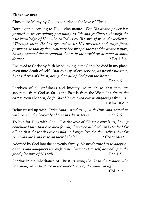#### **Either we are:**

Chosen for Mercy by God to experience the love of Christ.

Born again according to His divine nature. *'For His divine power has granted to us everything pertaining to life and godliness, through the true knowledge of Him who called us by His own glory and excellence. <sup>4</sup> Through these He has granted to us His precious and magnificent promises, so that by them you may become partakers of the divine nature, having escaped the corruption that is in the world on account of sinful desires.'* 2 Pet 1:3-4

Enslaved to Christ by faith by believing in the Son who died in my place, even unto death of self. '*not by way of eye-service, as people-pleasers, but as slaves of Christ, doing the will of God from the heart.*'

Eph 6:6

Forgiven of all sinfulness and iniquity, so much so, that they are separated from God as far as the East is from the West. '*As far as the east is from the west, So far has He removed our wrongdoings from us*.' Psalm 103:12

Being raised up with Christ '*and raised us up with Him, and seated us with Him in the heavenly places in Christ Jesus.'* Eph 2:6

To live for Him with God. *'For the love of Christ controls us, having concluded this, that one died for all, therefore all died; and He died for all, so that those who live would no longer live for themselves, but for Him who died and rose on their behalf.*' 2 Cor 5:14-15

Adopted by God into the heavenly family. *He predestined us to adoption as sons and daughters through Jesus Christ to Himself, according to the good pleasure of His will.'* Eph 1:5

Sharing in the inheritance of Christ. '*Giving thanks to the Father, who has qualified us to share in the inheritance of the saints in light.'*

Col 1:12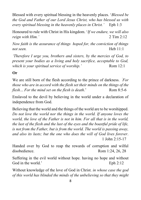Blessed with every spiritual blessing in the heavenly places. '*Blessed be the God and Father of our Lord Jesus Christ, who has blessed us with every spiritual blessing in the heavenly places in Christ.'* Eph 1:3

Honoured to rule with Christ in His kingdom. '*If we endure, we will also reign with Him.'* 2 Tim 2:12

*Now faith is the assurance of things hoped for, the conviction of things not seen.* Heb 11:1

*'Therefore I urge you, brothers and sisters, by the mercies of God, to present your bodies as a living and holy sacrifice, acceptable to God, which is your spiritual service of worship.'* Rom 12:1

#### **Or**

We are still born of the flesh according to the prince of darkness. *'For those who are in accord with the flesh set their minds on the things of the flesh... For the mind set on the flesh is death.*' Rom 8:5-6

Enslaved to the devil by believing in the world under a declaration of independence from God.

Believing that the world and the things of the world are to be worshipped. *Do not love the world nor the things in the world. If anyone loves the world, the love of the Father is not in him. For all that is in the world, the lust of the flesh and the lust of the eyes and the boastful pride of life, is not from the Father, but is from the world. The world is passing away, and also its lusts; but the one who does the will of God lives forever*. 1 John 2:15-17

Handed over by God to reap the rewards of corruption and wilful disobedience. Rom 1:24, 26, 28

Suffering in the evil world without hope. having no hope and without God in the world.' Eph 2:12

Without knowledge of the love of God in Christ. *in whose case the god of this world has blinded the minds of the unbelieving so that they might*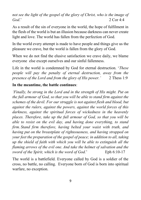*not see the light of the gospel of the glory of Christ, who is the image of God*.' 2 Cor 4:4

As a result of the sin of everyone in the world, the hope of fulfilment in the flesh of the world is but an illusion because darkness can never create light and love. The world has fallen from the perfection of God.

In the world every attempt is made to have people and things give us the pleasure we crave, but the world is fallen from the glory of God.

When we do not find the elusive satisfaction we crave daily, we blame everyone else except ourselves and our sinful fallenness.

Life in the world is condemned by God for eternal destruction. '*These people will pay the penalty of eternal destruction, away from the presence of the Lord and from the glory of His power.'* 2 Thess 1:9

#### **In the meantime, the battle continues**:

*'Finally, be strong in the Lord and in the strength of His might. Put on the full armour of God, so that you will be able to stand firm against the schemes of the devil. For our struggle is not against flesh and blood, but against the rulers, against the powers, against the world forces of this darkness, against the spiritual forces of wickedness in the heavenly places. Therefore, take up the full armour of God, so that you will be able to resist on the evil day, and having done everything, to stand firm. Stand firm therefore, having belted your waist with truth, and having put on the breastplate of righteousness, and having strapped on your feet the preparation of the gospel of peace; in addition to all, taking up the shield of faith with which you will be able to extinguish all the flaming arrows of the evil one. And take the helmet of salvation and the sword of the Spirit, which is the word of God.*' Eph 6:10-17

The world is a battlefield. Everyone called by God is a soldier of the cross, no battle, no calling. Everyone born of God is born into spiritual warfare, no exception.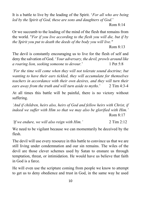It is a battle to live by the leading of the Spirit. '*For all who are being led by the Spirit of God, these are sons and daughters of God.*'

Rom 8:14

Or we succumb to the leading of the mind of the flesh that remains from the world. "*For if you live according to the flesh you will die, but if by the Spirit you put to death the deeds of the body you will live."*

 $Rom 8:13$ 

The devil is constantly encouraging us to live for the flesh of self and deny the salvation of God. '*Your adversary, the devil, prowls around like a roaring lion, seeking someone to devour.*' 1 Pet 5:8

*'For the time will come when they will not tolerate sound doctrine; but wanting to have their ears tickled, they will accumulate for themselves teachers in accordance with their own desires, and they will turn their ears away from the truth and will turn aside to myths*.' 2 Tim 4:3-4

At all times this battle will be painful, there is no victory without suffering.

*'And if children, heirs also, heirs of God and fellow heirs with Christ, if indeed we suffer with Him so that we may also be glorified with Him.'* Rom 8:17

*'If we endure, we will also reign with Him.'* 2 Tim 2:12

We need to be vigilant because we can momentarily be deceived by the flesh.

The devil will use every resource in this battle to convince us that we are still living under condemnation and our sin remains. The wiles of the devil are those clever schemes used by [Satan](https://www.gotquestions.org/who-Satan.html) to ensnare us through temptation, threat, or intimidation. He would have us believe that faith in God is a farce.

He will even use the scripture coming from people we know to attempt to get us to deny obedience and trust in God, in the same way he used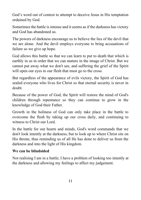God's word out of contest to attempt to deceive Jesus in His temptation ordained by God.

Sometimes the battle is intense and it seems as if the darkness has victory and God has abandoned us.

The powers of darkness encourage us to believe the lies of the devil that we are alone. And the devil employs everyone to bring accusations of failure so we give up hope.

God allows this battle so that we can learn to put to death that which is earthly in us in order that we can mature in the image of Christ. But we cannot put away what we don't see, and suffering the grief of the Spirit will open our eyes to our flesh that must go to the cross.

But regardless of the appearance of evils victory, the Spirit of God has sealed everyone who lives for Christ so that eternal security is never in doubt.

Because of the power of God, the Spirit will restore the mind of God's children through repentance so they can continue to grow in the knowledge of God their Father.

Growth in the holiness of God can only take place in the battle to overcome the flesh by taking up our cross daily, and continuing to witness to Christ our Lord.

In the battle for our hearts and minds, God's word commands that we don't look intently at the darkness, but to look up to where Christ sits on His throne, thus reminding us of all He has done to deliver us from the darkness and into the light of His kingdom.

#### **We can be blindsided**

Not realising I am in a battle; I have a problem of looking too intently at the darkness and allowing my feelings to affect my judgement.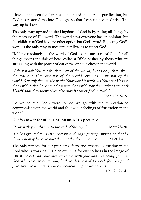I have again seen the darkness, and tasted the tears of purification, but God has restored me into His light so that I can rejoice in Christ. The way up is down.

The only way upward in the kingdom of God is by ruling all things by the measure of His word. The world says everyone has an opinion, but the children of God have no other option but God's word. Rejecting God's word as the only way to measure our lives is to reject God.

Holding resolutely to the word of God as the measure of God for all things means the risk of been called a Bible basher by those who are struggling with the power of darkness, or have chosen the world.

*"I do not ask You to take them out of the world, but to keep them from the evil one. They are not of the world, even as I am not of the world. Sanctify them in the truth; Your word is truth. As You sent Me into the world, I also have sent them into the world. For their sakes I sanctify Myself, that they themselves also may be sanctified in truth."*

Do we believe God's word, or do we go with the temptation to compromise with the world and follow our feelings of frustration in the world?

#### **God's answer for all our problems is His presence**

*"I am with you always, to the end of the age."* Matt 28-20

*'He has granted to us His precious and magnificent promises, so that by them you may become partakers of the divine nature.'* 2 Pet 1:4

The only remedy for our problems, fears and anxiety, is trusting in the Lord who is working His plan out in us for our holiness in the image of Christ. '*Work out your own salvation with fear and trembling; for it is God who is at work in you, both to desire and to work for His good pleasure. Do all things without complaining or arguments.*'

Phil  $2.12 - 14$ 

John 17:15-19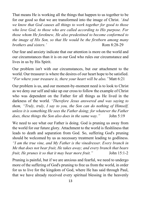That means He is working all the things that happen to us together to be for our good so that we are transformed into the image of Christ. *'And we know that God causes all things to work together for good to those who love God, to those who are called according to His purpose. For those whom He foreknew, He also predestined to become conformed to the image of His Son, so that He would be the firstborn among many brothers and sisters.'* Rom 8:28-29

Our fear and anxiety indicate that our attention is more on the world and our circumstances than it is on our God who rules our circumstance and lives in us by His Spirit.

Our problem isn't with our circumstances, but our attachment to the world. Our treasurer is where the desires of our heart hope to be satisfied. "*For where your treasure is, there your heart will be also."*Matt 6:21

Our problem is us, and our moment-by-moment need is to look to Christ as we deny our self and take up our cross to follow the example of Christ who was dependent on the Father for all things as He lived in the darkness of the world. '*Therefore Jesus answered and was saying to them, "Truly, truly, I say to you, the Son can do nothing of Himself, unless it is something He sees the Father doing; for whatever the Father does, these things the Son also does in the same way."* John 5:19

We need to see what our Father is doing. God is pruning us away from the world for our future glory. Attachment to the world is fleshliness that leads to death and separation from God. So, suffering God's pruning should be welcomed by us as necessary treatment leading to godliness. *"I am the true vine, and My Father is the vinedresser. Every branch in Me that does not bear fruit, He takes away; and every branch that bears fruit, He prunes it so that it may bear more fruit."* John 15:1-2

Pruning is painful, but if we are anxious and fearful, we need to undergo more of the suffering of God's pruning to free us from the world, in order for us to live for the kingdom of God, where He has said through Paul, that we have already received every spiritual blessing in the heavenly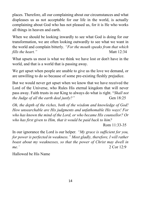places. Therefore, all our complaining about our circumstances and what displeases us as not acceptable for our life in the world, is actually complaining about God who has not pleased us, for it is He who works all things in heaven and earth.

When we should be looking inwardly to see what God is doing for our transformation, we are often looking outwardly to see what we want in the world and complain bitterly. *"For the mouth speaks from that which fills the heart.*" Matt 12:34

What upsets us most is what we think we have lost or don't have in the world, and that is a world that is passing away.

We get upset when people are unable to give us the love we demand, or are unwilling to do so because of some pre-existing fleshly prejudice.

But we would never get upset when we know that we have received the Lord of the Universe, who Rules His eternal kingdom that will never pass away. Faith trusts in our King to always do what is right. "*Shall not the Judge of all the earth deal justly?"* Gen 18:25

*Oh, the depth of the riches, both of the wisdom and knowledge of God! How unsearchable are His judgments and unfathomable His ways! For who has known the mind of the Lord, or who became His counsellor? Or who has first given to Him, that it would be paid back to him?* Rom 11:33-35

In our ignorance the Lord is our helper*. "My grace is sufficient for you, for power is perfected in weakness." Most gladly, therefore, I will rather boast about my weaknesses, so that the power of Christ may dwell in me.'* 2 Cor 12:9

Hallowed be His Name